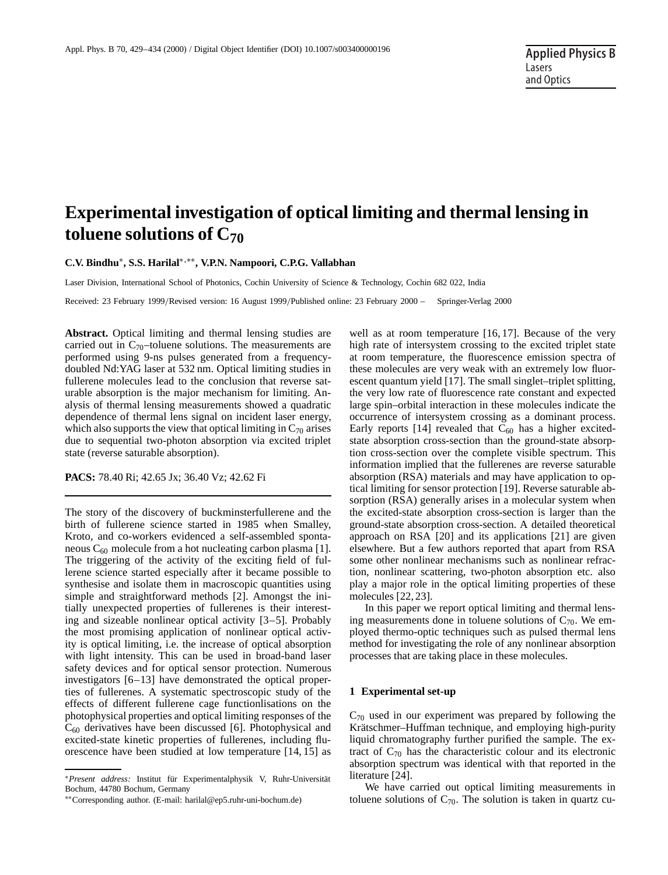# **Experimental investigation of optical limiting and thermal lensing in toluene solutions of C70**

**C.V. Bindhu**∗**, S.S. Harilal**∗,∗∗**, V.P.N. Nampoori, C.P.G. Vallabhan**

Laser Division, International School of Photonics, Cochin University of Science & Technology, Cochin 682 022, India

Received: 23 February 1999/Revised version: 16 August 1999/Published online: 23 February 2000 – © Springer-Verlag 2000

**Abstract.** Optical limiting and thermal lensing studies are carried out in  $C_{70}$ -toluene solutions. The measurements are performed using 9-ns pulses generated from a frequencydoubled Nd:YAG laser at 532 nm. Optical limiting studies in fullerene molecules lead to the conclusion that reverse saturable absorption is the major mechanism for limiting. Analysis of thermal lensing measurements showed a quadratic dependence of thermal lens signal on incident laser energy, which also supports the view that optical limiting in  $C_{70}$  arises due to sequential two-photon absorption via excited triplet state (reverse saturable absorption).

**PACS:** 78.40 Ri; 42.65 Jx; 36.40 Vz; 42.62 Fi

The story of the discovery of buckminsterfullerene and the birth of fullerene science started in 1985 when Smalley, Kroto, and co-workers evidenced a self-assembled spontaneous  $C_{60}$  molecule from a hot nucleating carbon plasma [1]. The triggering of the activity of the exciting field of fullerene science started especially after it became possible to synthesise and isolate them in macroscopic quantities using simple and straightforward methods [2]. Amongst the initially unexpected properties of fullerenes is their interesting and sizeable nonlinear optical activity [3–5]. Probably the most promising application of nonlinear optical activity is optical limiting, i.e. the increase of optical absorption with light intensity. This can be used in broad-band laser safety devices and for optical sensor protection. Numerous investigators [6–13] have demonstrated the optical properties of fullerenes. A systematic spectroscopic study of the effects of different fullerene cage functionlisations on the photophysical properties and optical limiting responses of the  $C_{60}$  derivatives have been discussed [6]. Photophysical and excited-state kinetic properties of fullerenes, including fluorescence have been studied at low temperature [14, 15] as well as at room temperature [16, 17]. Because of the very high rate of intersystem crossing to the excited triplet state at room temperature, the fluorescence emission spectra of these molecules are very weak with an extremely low fluorescent quantum yield [17]. The small singlet–triplet splitting, the very low rate of fluorescence rate constant and expected large spin–orbital interaction in these molecules indicate the occurrence of intersystem crossing as a dominant process. Early reports [14] revealed that  $C_{60}$  has a higher excitedstate absorption cross-section than the ground-state absorption cross-section over the complete visible spectrum. This information implied that the fullerenes are reverse saturable absorption (RSA) materials and may have application to optical limiting for sensor protection [19]. Reverse saturable absorption (RSA) generally arises in a molecular system when the excited-state absorption cross-section is larger than the ground-state absorption cross-section. A detailed theoretical approach on RSA [20] and its applications [21] are given elsewhere. But a few authors reported that apart from RSA some other nonlinear mechanisms such as nonlinear refraction, nonlinear scattering, two-photon absorption etc. also play a major role in the optical limiting properties of these molecules [22, 23].

In this paper we report optical limiting and thermal lensing measurements done in toluene solutions of  $C_{70}$ . We employed thermo-optic techniques such as pulsed thermal lens method for investigating the role of any nonlinear absorption processes that are taking place in these molecules.

## **1 Experimental set-up**

 $C_{70}$  used in our experiment was prepared by following the Krätschmer–Huffman technique, and employing high-purity liquid chromatography further purified the sample. The extract of  $C_{70}$  has the characteristic colour and its electronic absorption spectrum was identical with that reported in the literature [24].

We have carried out optical limiting measurements in toluene solutions of  $C_{70}$ . The solution is taken in quartz cu-

<sup>∗</sup>*Present address:* Institut für Experimentalphysik V, Ruhr-Universität Bochum, 44780 Bochum, Germany

<sup>∗∗</sup>Corresponding author. (E-mail: harilal@ep5.ruhr-uni-bochum.de)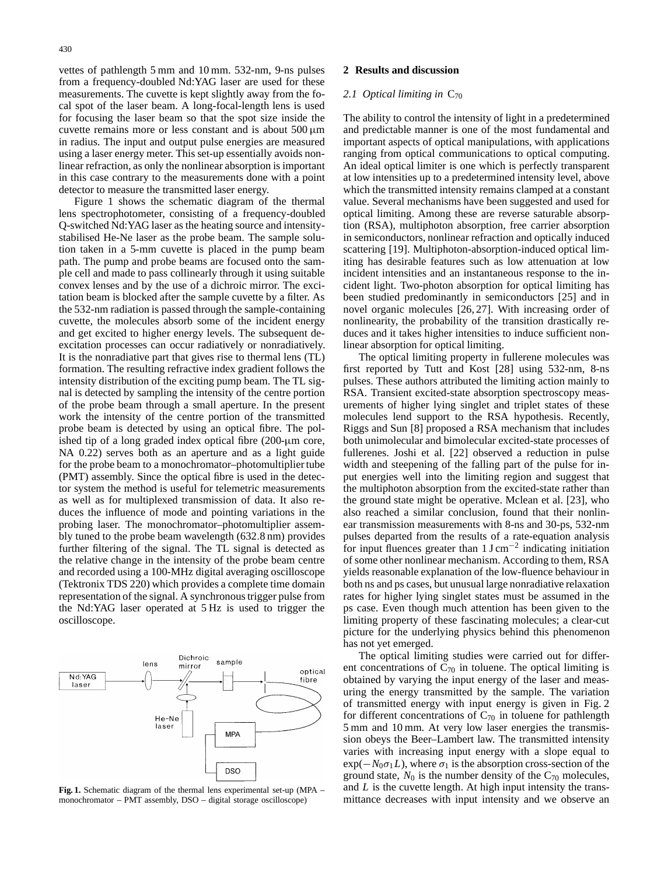vettes of pathlength 5 mm and 10 mm. 532-nm, 9-ns pulses from a frequency-doubled Nd:YAG laser are used for these measurements. The cuvette is kept slightly away from the focal spot of the laser beam. A long-focal-length lens is used for focusing the laser beam so that the spot size inside the cuvette remains more or less constant and is about  $500 \mu m$ in radius. The input and output pulse energies are measured using a laser energy meter. This set-up essentially avoids nonlinear refraction, as only the nonlinear absorption is important in this case contrary to the measurements done with a point detector to measure the transmitted laser energy.

Figure 1 shows the schematic diagram of the thermal lens spectrophotometer, consisting of a frequency-doubled Q-switched Nd:YAG laser as the heating source and intensitystabilised He-Ne laser as the probe beam. The sample solution taken in a 5-mm cuvette is placed in the pump beam path. The pump and probe beams are focused onto the sample cell and made to pass collinearly through it using suitable convex lenses and by the use of a dichroic mirror. The excitation beam is blocked after the sample cuvette by a filter. As the 532-nm radiation is passed through the sample-containing cuvette, the molecules absorb some of the incident energy and get excited to higher energy levels. The subsequent deexcitation processes can occur radiatively or nonradiatively. It is the nonradiative part that gives rise to thermal lens (TL) formation. The resulting refractive index gradient follows the intensity distribution of the exciting pump beam. The TL signal is detected by sampling the intensity of the centre portion of the probe beam through a small aperture. In the present work the intensity of the centre portion of the transmitted probe beam is detected by using an optical fibre. The polished tip of a long graded index optical fibre (200-µm core, NA 0.22) serves both as an aperture and as a light guide for the probe beam to a monochromator–photomultiplier tube (PMT) assembly. Since the optical fibre is used in the detector system the method is useful for telemetric measurements as well as for multiplexed transmission of data. It also reduces the influence of mode and pointing variations in the probing laser. The monochromator–photomultiplier assembly tuned to the probe beam wavelength (632.8 nm) provides further filtering of the signal. The TL signal is detected as the relative change in the intensity of the probe beam centre and recorded using a 100-MHz digital averaging oscilloscope (Tektronix TDS 220) which provides a complete time domain representation of the signal. A synchronous trigger pulse from the Nd:YAG laser operated at 5 Hz is used to trigger the oscilloscope.



**Fig. 1.** Schematic diagram of the thermal lens experimental set-up (MPA – monochromator – PMT assembly, DSO – digital storage oscilloscope)

## **2 Results and discussion**

### 2.1 *Optical limiting in* C<sub>70</sub>

The ability to control the intensity of light in a predetermined and predictable manner is one of the most fundamental and important aspects of optical manipulations, with applications ranging from optical communications to optical computing. An ideal optical limiter is one which is perfectly transparent at low intensities up to a predetermined intensity level, above which the transmitted intensity remains clamped at a constant value. Several mechanisms have been suggested and used for optical limiting. Among these are reverse saturable absorption (RSA), multiphoton absorption, free carrier absorption in semiconductors, nonlinear refraction and optically induced scattering [19]. Multiphoton-absorption-induced optical limiting has desirable features such as low attenuation at low incident intensities and an instantaneous response to the incident light. Two-photon absorption for optical limiting has been studied predominantly in semiconductors [25] and in novel organic molecules [26, 27]. With increasing order of nonlinearity, the probability of the transition drastically reduces and it takes higher intensities to induce sufficient nonlinear absorption for optical limiting.

The optical limiting property in fullerene molecules was first reported by Tutt and Kost [28] using 532-nm, 8-ns pulses. These authors attributed the limiting action mainly to RSA. Transient excited-state absorption spectroscopy measurements of higher lying singlet and triplet states of these molecules lend support to the RSA hypothesis. Recently, Riggs and Sun [8] proposed a RSA mechanism that includes both unimolecular and bimolecular excited-state processes of fullerenes. Joshi et al. [22] observed a reduction in pulse width and steepening of the falling part of the pulse for input energies well into the limiting region and suggest that the multiphoton absorption from the excited-state rather than the ground state might be operative. Mclean et al. [23], who also reached a similar conclusion, found that their nonlinear transmission measurements with 8-ns and 30-ps, 532-nm pulses departed from the results of a rate-equation analysis for input fluences greater than  $1 \text{ J cm}^{-2}$  indicating initiation of some other nonlinear mechanism. According to them, RSA yields reasonable explanation of the low-fluence behaviour in both ns and ps cases, but unusual large nonradiative relaxation rates for higher lying singlet states must be assumed in the ps case. Even though much attention has been given to the limiting property of these fascinating molecules; a clear-cut picture for the underlying physics behind this phenomenon has not yet emerged.

The optical limiting studies were carried out for different concentrations of  $C_{70}$  in toluene. The optical limiting is obtained by varying the input energy of the laser and measuring the energy transmitted by the sample. The variation of transmitted energy with input energy is given in Fig. 2 for different concentrations of  $C_{70}$  in toluene for pathlength 5 mm and 10 mm. At very low laser energies the transmission obeys the Beer–Lambert law. The transmitted intensity varies with increasing input energy with a slope equal to  $\exp(-N_0\sigma_1L)$ , where  $\sigma_1$  is the absorption cross-section of the ground state,  $N_0$  is the number density of the  $C_{70}$  molecules, and *L* is the cuvette length. At high input intensity the transmittance decreases with input intensity and we observe an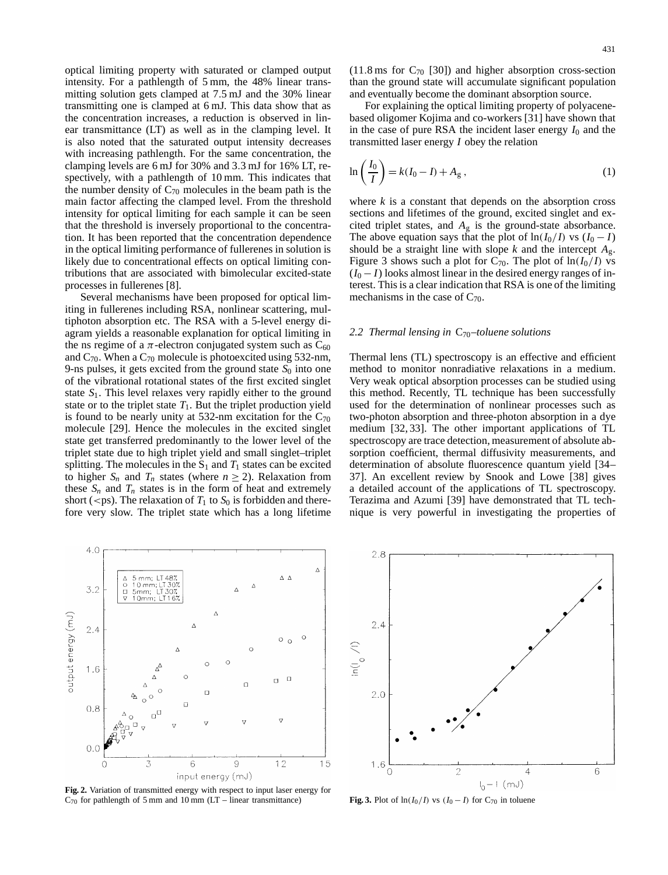optical limiting property with saturated or clamped output intensity. For a pathlength of 5 mm, the 48% linear transmitting solution gets clamped at 7.5 mJ and the 30% linear transmitting one is clamped at 6 mJ. This data show that as the concentration increases, a reduction is observed in linear transmittance (LT) as well as in the clamping level. It is also noted that the saturated output intensity decreases with increasing pathlength. For the same concentration, the clamping levels are 6 mJ for 30% and 3.3 mJ for 16% LT, respectively, with a pathlength of 10 mm. This indicates that the number density of  $C_{70}$  molecules in the beam path is the main factor affecting the clamped level. From the threshold intensity for optical limiting for each sample it can be seen that the threshold is inversely proportional to the concentration. It has been reported that the concentration dependence in the optical limiting performance of fullerenes in solution is likely due to concentrational effects on optical limiting contributions that are associated with bimolecular excited-state processes in fullerenes [8].

Several mechanisms have been proposed for optical limiting in fullerenes including RSA, nonlinear scattering, multiphoton absorption etc. The RSA with a 5-level energy diagram yields a reasonable explanation for optical limiting in the ns regime of a  $\pi$ -electron conjugated system such as  $C_{60}$ and  $C_{70}$ . When a  $C_{70}$  molecule is photoexcited using 532-nm, 9-ns pulses, it gets excited from the ground state  $S_0$  into one of the vibrational rotational states of the first excited singlet state *S*1. This level relaxes very rapidly either to the ground state or to the triplet state  $T_1$ . But the triplet production yield is found to be nearly unity at 532-nm excitation for the  $C_{70}$ molecule [29]. Hence the molecules in the excited singlet state get transferred predominantly to the lower level of the triplet state due to high triplet yield and small singlet–triplet splitting. The molecules in the  $S_1$  and  $T_1$  states can be excited to higher  $S_n$  and  $T_n$  states (where  $n \geq 2$ ). Relaxation from these  $S_n$  and  $T_n$  states is in the form of heat and extremely short ( $\langle$ ps). The relaxation of  $T_1$  to  $S_0$  is forbidden and therefore very slow. The triplet state which has a long lifetime

and eventually become the dominant absorption source. For explaining the optical limiting property of polyacenebased oligomer Kojima and co-workers [31] have shown that in the case of pure RSA the incident laser energy  $I_0$  and the transmitted laser energy *I* obey the relation

$$
\ln\left(\frac{I_0}{I}\right) = k(I_0 - I) + A_g , \qquad (1)
$$

where  $k$  is a constant that depends on the absorption cross sections and lifetimes of the ground, excited singlet and excited triplet states, and *A*<sup>g</sup> is the ground-state absorbance. The above equation says that the plot of  $\ln(I_0/I)$  vs  $(I_0-I)$ should be a straight line with slope  $k$  and the intercept  $A_{\varrho}$ . Figure 3 shows such a plot for  $C_{70}$ . The plot of  $\ln(I_0/I)$  vs  $(I_0 - I)$  looks almost linear in the desired energy ranges of interest. This is a clear indication that RSA is one of the limiting mechanisms in the case of  $C_{70}$ .

## *2.2 Thermal lensing in* C70*–toluene solutions*

Thermal lens (TL) spectroscopy is an effective and efficient method to monitor nonradiative relaxations in a medium. Very weak optical absorption processes can be studied using this method. Recently, TL technique has been successfully used for the determination of nonlinear processes such as two-photon absorption and three-photon absorption in a dye medium [32, 33]. The other important applications of TL spectroscopy are trace detection, measurement of absolute absorption coefficient, thermal diffusivity measurements, and determination of absolute fluorescence quantum yield [34– 37]. An excellent review by Snook and Lowe [38] gives a detailed account of the applications of TL spectroscopy. Terazima and Azumi [39] have demonstrated that TL technique is very powerful in investigating the properties of



**Fig. 2.** Variation of transmitted energy with respect to input laser energy for  $C_{70}$  for pathlength of 5 mm and 10 mm (LT – linear transmittance)



**Fig. 3.** Plot of  $\ln(I_0/I)$  vs  $(I_0 - I)$  for C<sub>70</sub> in toluene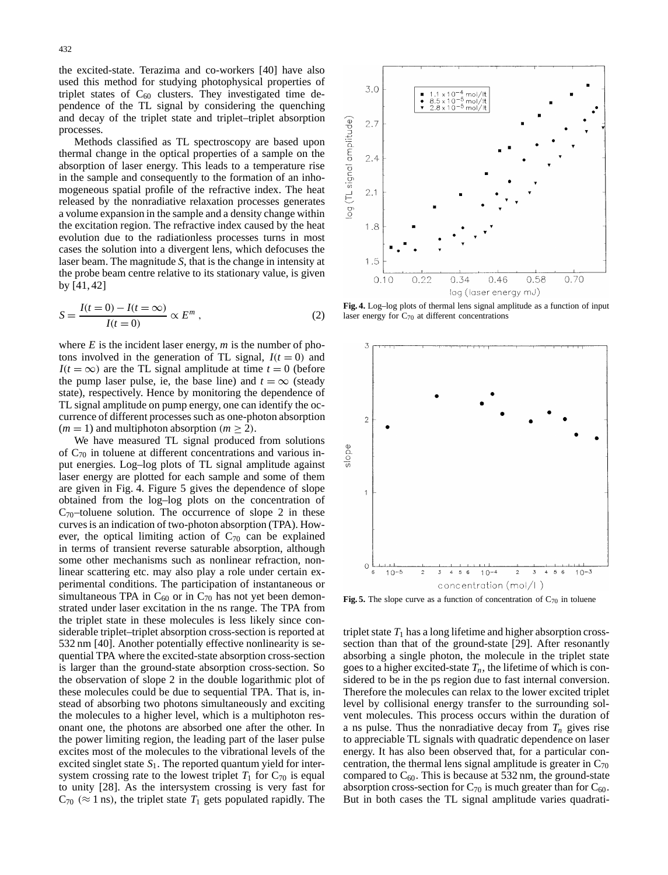the excited-state. Terazima and co-workers [40] have also used this method for studying photophysical properties of triplet states of  $C_{60}$  clusters. They investigated time dependence of the TL signal by considering the quenching and decay of the triplet state and triplet–triplet absorption processes.

Methods classified as TL spectroscopy are based upon thermal change in the optical properties of a sample on the absorption of laser energy. This leads to a temperature rise in the sample and consequently to the formation of an inhomogeneous spatial profile of the refractive index. The heat released by the nonradiative relaxation processes generates a volume expansion in the sample and a density change within the excitation region. The refractive index caused by the heat evolution due to the radiationless processes turns in most cases the solution into a divergent lens, which defocuses the laser beam. The magnitude *S*, that is the change in intensity at the probe beam centre relative to its stationary value, is given by [41, 42]

$$
S = \frac{I(t=0) - I(t=\infty)}{I(t=0)} \propto E^m , \qquad (2)
$$

where *E* is the incident laser energy, *m* is the number of photons involved in the generation of TL signal,  $I(t=0)$  and *I*( $t = \infty$ ) are the TL signal amplitude at time  $t = 0$  (before the pump laser pulse, ie, the base line) and  $t = \infty$  (steady state), respectively. Hence by monitoring the dependence of TL signal amplitude on pump energy, one can identify the occurrence of different processes such as one-photon absorption  $(m = 1)$  and multiphoton absorption  $(m > 2)$ .

We have measured TL signal produced from solutions of  $C_{70}$  in toluene at different concentrations and various input energies. Log–log plots of TL signal amplitude against laser energy are plotted for each sample and some of them are given in Fig. 4. Figure 5 gives the dependence of slope obtained from the log–log plots on the concentration of  $C_{70}$ -toluene solution. The occurrence of slope 2 in these curves is an indication of two-photon absorption (TPA). However, the optical limiting action of  $C_{70}$  can be explained in terms of transient reverse saturable absorption, although some other mechanisms such as nonlinear refraction, nonlinear scattering etc. may also play a role under certain experimental conditions. The participation of instantaneous or simultaneous TPA in  $C_{60}$  or in  $C_{70}$  has not yet been demonstrated under laser excitation in the ns range. The TPA from the triplet state in these molecules is less likely since considerable triplet–triplet absorption cross-section is reported at 532 nm [40]. Another potentially effective nonlinearity is sequential TPA where the excited-state absorption cross-section is larger than the ground-state absorption cross-section. So the observation of slope 2 in the double logarithmic plot of these molecules could be due to sequential TPA. That is, instead of absorbing two photons simultaneously and exciting the molecules to a higher level, which is a multiphoton resonant one, the photons are absorbed one after the other. In the power limiting region, the leading part of the laser pulse excites most of the molecules to the vibrational levels of the excited singlet state  $S_1$ . The reported quantum yield for intersystem crossing rate to the lowest triplet  $T_1$  for  $C_{70}$  is equal to unity [28]. As the intersystem crossing is very fast for  $C_{70}$  ( $\approx$  1 ns), the triplet state  $T_1$  gets populated rapidly. The



**Fig. 4.** Log–log plots of thermal lens signal amplitude as a function of input laser energy for  $C_{70}$  at different concentrations



**Fig. 5.** The slope curve as a function of concentration of  $C_{70}$  in toluene

triplet state  $T_1$  has a long lifetime and higher absorption crosssection than that of the ground-state [29]. After resonantly absorbing a single photon, the molecule in the triplet state goes to a higher excited-state  $T_n$ , the lifetime of which is considered to be in the ps region due to fast internal conversion. Therefore the molecules can relax to the lower excited triplet level by collisional energy transfer to the surrounding solvent molecules. This process occurs within the duration of a ns pulse. Thus the nonradiative decay from  $T_n$  gives rise to appreciable TL signals with quadratic dependence on laser energy. It has also been observed that, for a particular concentration, the thermal lens signal amplitude is greater in  $C_{70}$ compared to  $C_{60}$ . This is because at 532 nm, the ground-state absorption cross-section for  $C_{70}$  is much greater than for  $C_{60}$ . But in both cases the TL signal amplitude varies quadrati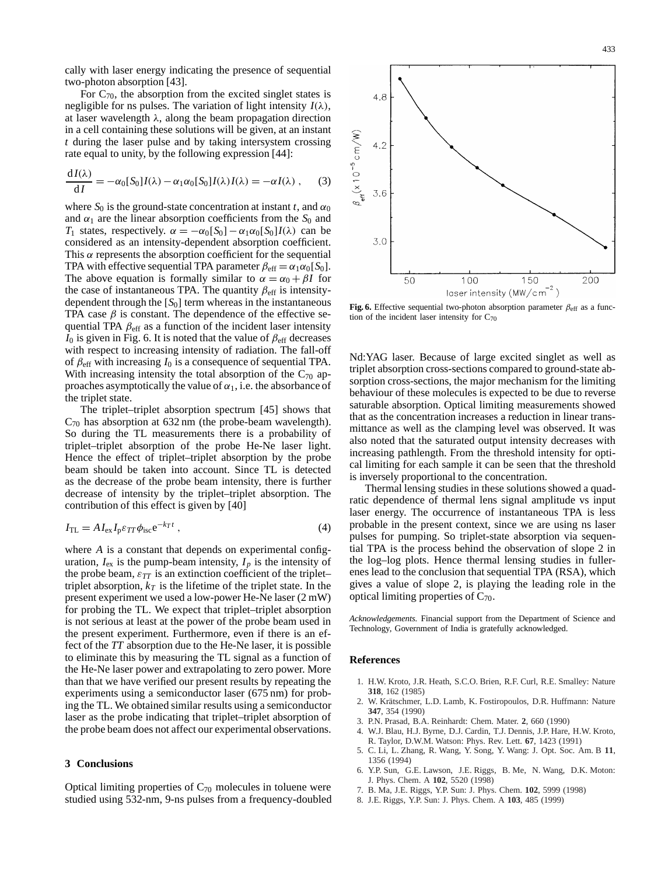cally with laser energy indicating the presence of sequential two-photon absorption [43].

For  $C_{70}$ , the absorption from the excited singlet states is negligible for ns pulses. The variation of light intensity  $I(\lambda)$ , at laser wavelength  $\lambda$ , along the beam propagation direction in a cell containing these solutions will be given, at an instant *t* during the laser pulse and by taking intersystem crossing rate equal to unity, by the following expression [44]:

$$
\frac{dI(\lambda)}{dI} = -\alpha_0[S_0]I(\lambda) - \alpha_1\alpha_0[S_0]I(\lambda)I(\lambda) = -\alpha I(\lambda) , \quad (3)
$$

where  $S_0$  is the ground-state concentration at instant *t*, and  $\alpha_0$ and  $\alpha_1$  are the linear absorption coefficients from the  $S_0$  and *T*<sub>1</sub> states, respectively.  $\alpha = -\alpha_0[S_0] - \alpha_1 \alpha_0[S_0]I(\lambda)$  can be considered as an intensity-dependent absorption coefficient. This  $\alpha$  represents the absorption coefficient for the sequential TPA with effective sequential TPA parameter  $\beta_{\text{eff}} = \alpha_1 \alpha_0 [S_0]$ . The above equation is formally similar to  $\alpha = \alpha_0 + \beta I$  for the case of instantaneous TPA. The quantity  $\beta_{\text{eff}}$  is intensitydependent through the  $[S_0]$  term whereas in the instantaneous TPA case  $\beta$  is constant. The dependence of the effective sequential TPA  $\beta_{\text{eff}}$  as a function of the incident laser intensity  $I_0$  is given in Fig. 6. It is noted that the value of  $\beta_{\text{eff}}$  decreases with respect to increasing intensity of radiation. The fall-off of  $\beta_{\text{eff}}$  with increasing  $I_0$  is a consequence of sequential TPA. With increasing intensity the total absorption of the  $C_{70}$  approaches asymptotically the value of  $\alpha_1$ , i.e. the absorbance of the triplet state.

The triplet–triplet absorption spectrum [45] shows that  $C_{70}$  has absorption at 632 nm (the probe-beam wavelength). So during the TL measurements there is a probability of triplet–triplet absorption of the probe He-Ne laser light. Hence the effect of triplet–triplet absorption by the probe beam should be taken into account. Since TL is detected as the decrease of the probe beam intensity, there is further decrease of intensity by the triplet–triplet absorption. The contribution of this effect is given by [40]

$$
I_{\rm TL} = A I_{\rm ex} I_{\rm p} \varepsilon_{TT} \phi_{\rm isc} e^{-k_T t} \,,\tag{4}
$$

where *A* is a constant that depends on experimental configuration,  $I_{\text{ex}}$  is the pump-beam intensity,  $I_p$  is the intensity of the probe beam,  $\varepsilon_{TT}$  is an extinction coefficient of the triplet– triplet absorption,  $k_T$  is the lifetime of the triplet state. In the present experiment we used a low-power He-Ne laser (2 mW) for probing the TL. We expect that triplet–triplet absorption is not serious at least at the power of the probe beam used in the present experiment. Furthermore, even if there is an effect of the *TT* absorption due to the He-Ne laser, it is possible to eliminate this by measuring the TL signal as a function of the He-Ne laser power and extrapolating to zero power. More than that we have verified our present results by repeating the experiments using a semiconductor laser (675 nm) for probing the TL. We obtained similar results using a semiconductor laser as the probe indicating that triplet–triplet absorption of the probe beam does not affect our experimental observations.

#### **3 Conclusions**

Optical limiting properties of  $C_{70}$  molecules in toluene were studied using 532-nm, 9-ns pulses from a frequency-doubled



**Fig. 6.** Effective sequential two-photon absorption parameter  $\beta_{\text{eff}}$  as a function of the incident laser intensity for  $C_{70}$ 

Nd:YAG laser. Because of large excited singlet as well as triplet absorption cross-sections compared to ground-state absorption cross-sections, the major mechanism for the limiting behaviour of these molecules is expected to be due to reverse saturable absorption. Optical limiting measurements showed that as the concentration increases a reduction in linear transmittance as well as the clamping level was observed. It was also noted that the saturated output intensity decreases with increasing pathlength. From the threshold intensity for optical limiting for each sample it can be seen that the threshold is inversely proportional to the concentration.

Thermal lensing studies in these solutions showed a quadratic dependence of thermal lens signal amplitude vs input laser energy. The occurrence of instantaneous TPA is less probable in the present context, since we are using ns laser pulses for pumping. So triplet-state absorption via sequential TPA is the process behind the observation of slope 2 in the log–log plots. Hence thermal lensing studies in fullerenes lead to the conclusion that sequential TPA (RSA), which gives a value of slope 2, is playing the leading role in the optical limiting properties of  $C_{70}$ .

*Acknowledgements.* Financial support from the Department of Science and Technology, Government of India is gratefully acknowledged.

#### **References**

- 1. H.W. Kroto, J.R. Heath, S.C.O. Brien, R.F. Curl, R.E. Smalley: Nature **318**, 162 (1985)
- 2. W. Krätschmer, L.D. Lamb, K. Fostiropoulos, D.R. Huffmann: Nature **347**, 354 (1990)
- 3. P.N. Prasad, B.A. Reinhardt: Chem. Mater. **2**, 660 (1990)
- 4. W.J. Blau, H.J. Byrne, D.J. Cardin, T.J. Dennis, J.P. Hare, H.W. Kroto, R. Taylor, D.W.M. Watson: Phys. Rev. Lett. **67**, 1423 (1991)
- 5. C. Li, L. Zhang, R. Wang, Y. Song, Y. Wang: J. Opt. Soc. Am. B **11**, 1356 (1994)
- 6. Y.P. Sun, G.E. Lawson, J.E. Riggs, B. Me, N. Wang, D.K. Moton: J. Phys. Chem. A **102**, 5520 (1998)
- 7. B. Ma, J.E. Riggs, Y.P. Sun: J. Phys. Chem. **102**, 5999 (1998)
- 8. J.E. Riggs, Y.P. Sun: J. Phys. Chem. A **103**, 485 (1999)